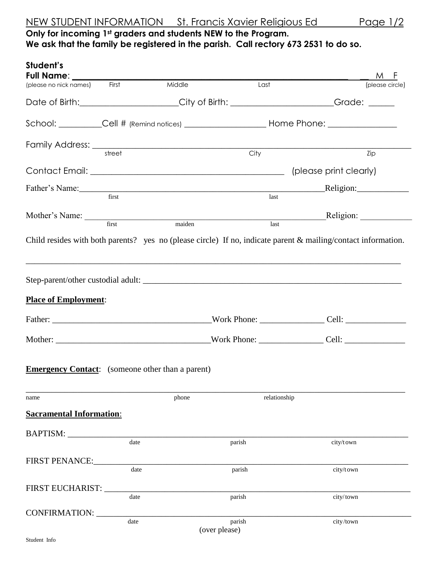## **Only for incoming 1st graders and students NEW to the Program. We ask that the family be registered in the parish. Call rectory 673 2531 to do so.**

| Student's<br>Full Name: ________                        |        |        |                         |                                                                                    | M F                                                                                                                                                                                                                                                                                                                                                                                                                            |  |
|---------------------------------------------------------|--------|--------|-------------------------|------------------------------------------------------------------------------------|--------------------------------------------------------------------------------------------------------------------------------------------------------------------------------------------------------------------------------------------------------------------------------------------------------------------------------------------------------------------------------------------------------------------------------|--|
| (please no nick names) First                            |        | Middle | Last                    |                                                                                    | (please circle)                                                                                                                                                                                                                                                                                                                                                                                                                |  |
|                                                         |        |        |                         | Date of Birth:_____________________City of Birth: ____________________Grade: _____ |                                                                                                                                                                                                                                                                                                                                                                                                                                |  |
|                                                         |        |        |                         |                                                                                    |                                                                                                                                                                                                                                                                                                                                                                                                                                |  |
|                                                         | street |        | City                    |                                                                                    | Zip                                                                                                                                                                                                                                                                                                                                                                                                                            |  |
|                                                         |        |        |                         |                                                                                    | (please print clearly)                                                                                                                                                                                                                                                                                                                                                                                                         |  |
|                                                         |        |        |                         | $\begin{array}{c}\n\text{Religion:}\n\hline\n\end{array}$                          |                                                                                                                                                                                                                                                                                                                                                                                                                                |  |
| Father's Name: first first                              |        |        |                         | last                                                                               |                                                                                                                                                                                                                                                                                                                                                                                                                                |  |
| Mother's Name: First maiden                             |        |        |                         |                                                                                    | Religion: $\frac{1}{\sqrt{1-\frac{1}{2}}\cdot\sqrt{1-\frac{1}{2}}\cdot\sqrt{1-\frac{1}{2}}\cdot\sqrt{1-\frac{1}{2}}\cdot\sqrt{1-\frac{1}{2}}\cdot\sqrt{1-\frac{1}{2}}\cdot\sqrt{1-\frac{1}{2}}\cdot\sqrt{1-\frac{1}{2}}\cdot\sqrt{1-\frac{1}{2}}\cdot\sqrt{1-\frac{1}{2}}\cdot\sqrt{1-\frac{1}{2}}\cdot\sqrt{1-\frac{1}{2}}\cdot\sqrt{1-\frac{1}{2}}\cdot\sqrt{1-\frac{1}{2}}\cdot\sqrt{1-\frac{1}{2}}\cdot\sqrt{1-\frac{1}{2$ |  |
|                                                         |        |        |                         | last                                                                               |                                                                                                                                                                                                                                                                                                                                                                                                                                |  |
| <b>Place of Employment:</b>                             |        |        |                         |                                                                                    |                                                                                                                                                                                                                                                                                                                                                                                                                                |  |
|                                                         |        |        |                         |                                                                                    |                                                                                                                                                                                                                                                                                                                                                                                                                                |  |
| <b>Emergency Contact:</b> (someone other than a parent) |        |        |                         |                                                                                    |                                                                                                                                                                                                                                                                                                                                                                                                                                |  |
| name                                                    |        | phone  |                         | relationship                                                                       |                                                                                                                                                                                                                                                                                                                                                                                                                                |  |
| <b>Sacramental Information:</b>                         |        |        |                         |                                                                                    |                                                                                                                                                                                                                                                                                                                                                                                                                                |  |
| BAPTISM:                                                |        |        |                         |                                                                                    |                                                                                                                                                                                                                                                                                                                                                                                                                                |  |
|                                                         | date   |        | parish                  | city/town                                                                          |                                                                                                                                                                                                                                                                                                                                                                                                                                |  |
| <b>FIRST PENANCE:</b>                                   | date   |        | parish                  | city/town                                                                          |                                                                                                                                                                                                                                                                                                                                                                                                                                |  |
|                                                         |        |        |                         |                                                                                    |                                                                                                                                                                                                                                                                                                                                                                                                                                |  |
| FIRST EUCHARIST:                                        | date   |        | parish                  | city/town                                                                          |                                                                                                                                                                                                                                                                                                                                                                                                                                |  |
| CONFIRMATION:                                           |        |        |                         |                                                                                    |                                                                                                                                                                                                                                                                                                                                                                                                                                |  |
|                                                         | date   |        | parish<br>(over please) | city/town                                                                          |                                                                                                                                                                                                                                                                                                                                                                                                                                |  |